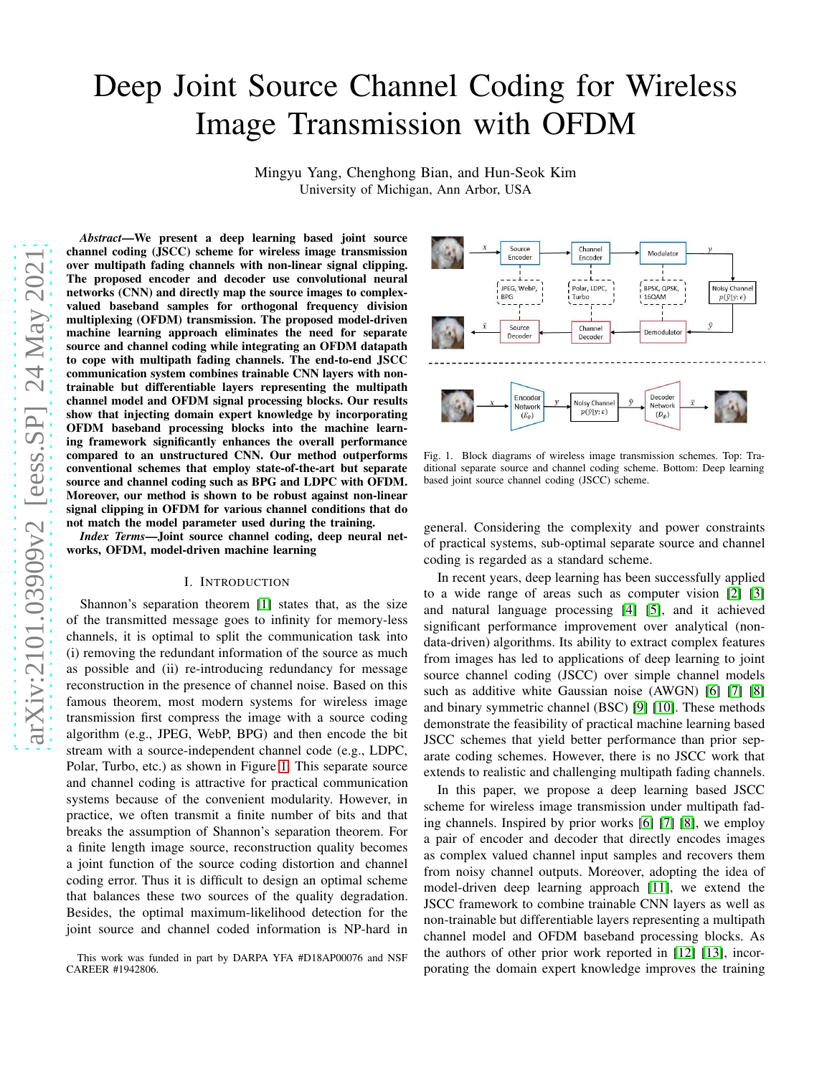# Deep Joint Source Channel Coding for Wireless Image Transmission with OFDM

Mingyu Yang, Chenghong Bian, and Hun-Seok Kim University of Michigan, Ann Arbor, USA

*Abstract*—We present a deep learning based joint source channel coding (JSCC) scheme for wireless image transmission over multipath fading channels with non-linear signal clipping. The proposed encoder and decoder use convolutional neural networks (CNN) and directly map the source images to complexvalued baseband samples for orthogonal frequency division multiplexing (OFDM) transmission. The proposed model-driven machine learning approach eliminates the need for separate source and channel coding while integrating an OFDM datapath to cope with multipath fading channels. The end-to-end JSCC communication system combines trainable CNN layers with nontrainable but differentiable layers representing the multipath channel model and OFDM signal processing blocks. Our results show that injecting domain expert knowledge by incorporating OFDM baseband processing blocks into the machine learning framework significantly enhances the overall performance compared to an unstructured CNN. Our method outperforms conventional schemes that employ state-of-the-art but separate source and channel coding such as BPG and LDPC with OFDM. Moreover, our method is shown to be robust against non-linear signal clipping in OFDM for various channel conditions that do not match the model parameter used during the training.

*Index Terms*—Joint source channel coding, deep neural networks, OFDM, model-driven machine learning

#### I. INTRODUCTION

Shannon's separation theorem [\[1\]](#page-5-0) states that, as the size of the transmitted message goes to infinity for memory-less channels, it is optimal to split the communication task into (i) removing the redundant information of the source as much as possible and (ii) re-introducing redundancy for message reconstruction in the presence of channel noise. Based on this famous theorem, most modern systems for wireless image transmission first compress the image with a source coding algorithm (e.g., JPEG, WebP, BPG) and then encode the bit stream with a source-independent channel code (e.g., LDPC, Polar, Turbo, etc.) as shown in Figure [1.](#page-0-0) This separate source and channel coding is attractive for practical communication systems because of the convenient modularity. However, in practice, we often transmit a finite number of bits and that breaks the assumption of Shannon's separation theorem. For a finite length image source, reconstruction quality becomes a joint function of the source coding distortion and channel coding error. Thus it is difficult to design an optimal scheme that balances these two sources of the quality degradation. Besides, the optimal maximum-likelihood detection for the joint source and channel coded information is NP-hard in



<span id="page-0-0"></span>Fig. 1. Block diagrams of wireless image transmission schemes. Top: Traditional separate source and channel coding scheme. Bottom: Deep learning based joint source channel coding (JSCC) scheme.

general. Considering the complexity and power constraints of practical systems, sub-optimal separate source and channel coding is regarded as a standard scheme.

In recent years, deep learning has been successfully applied to a wide range of areas such as computer vision [\[2\]](#page-5-1) [\[3\]](#page-5-2) and natural language processing [\[4\]](#page-5-3) [\[5\]](#page-5-4), and it achieved significant performance improvement over analytical (nondata-driven) algorithms. Its ability to extract complex features from images has led to applications of deep learning to joint source channel coding (JSCC) over simple channel models such as additive white Gaussian noise (AWGN) [\[6\]](#page-5-5) [\[7\]](#page-5-6) [\[8\]](#page-5-7) and binary symmetric channel (BSC) [\[9\]](#page-5-8) [\[10\]](#page-5-9). These methods demonstrate the feasibility of practical machine learning based JSCC schemes that yield better performance than prior separate coding schemes. However, there is no JSCC work that extends to realistic and challenging multipath fading channels.

In this paper, we propose a deep learning based JSCC scheme for wireless image transmission under multipath fading channels. Inspired by prior works [\[6\]](#page-5-5) [\[7\]](#page-5-6) [\[8\]](#page-5-7), we employ a pair of encoder and decoder that directly encodes images as complex valued channel input samples and recovers them from noisy channel outputs. Moreover, adopting the idea of model-driven deep learning approach [\[11\]](#page-5-10), we extend the JSCC framework to combine trainable CNN layers as well as non-trainable but differentiable layers representing a multipath channel model and OFDM baseband processing blocks. As the authors of other prior work reported in [\[12\]](#page-5-11) [\[13\]](#page-5-12), incorporating the domain expert knowledge improves the training

This work was funded in part by DARPA YFA #D18AP00076 and NSF CAREER #1942806.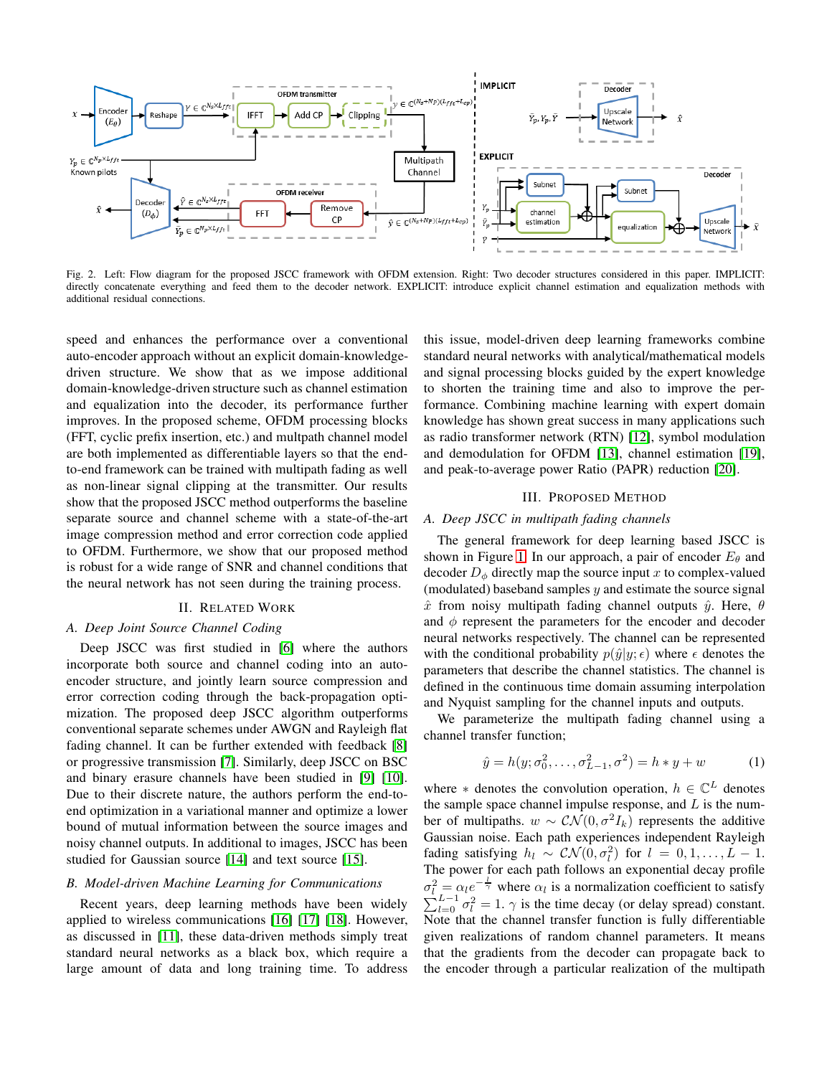

<span id="page-1-0"></span>Fig. 2. Left: Flow diagram for the proposed JSCC framework with OFDM extension. Right: Two decoder structures considered in this paper. IMPLICIT: directly concatenate everything and feed them to the decoder network. EXPLICIT: introduce explicit channel estimation and equalization methods with additional residual connections.

speed and enhances the performance over a conventional auto-encoder approach without an explicit domain-knowledgedriven structure. We show that as we impose additional domain-knowledge-driven structure such as channel estimation and equalization into the decoder, its performance further improves. In the proposed scheme, OFDM processing blocks (FFT, cyclic prefix insertion, etc.) and multpath channel model are both implemented as differentiable layers so that the endto-end framework can be trained with multipath fading as well as non-linear signal clipping at the transmitter. Our results show that the proposed JSCC method outperforms the baseline separate source and channel scheme with a state-of-the-art image compression method and error correction code applied to OFDM. Furthermore, we show that our proposed method is robust for a wide range of SNR and channel conditions that the neural network has not seen during the training process.

# II. RELATED WORK

# *A. Deep Joint Source Channel Coding*

Deep JSCC was first studied in [\[6\]](#page-5-5) where the authors incorporate both source and channel coding into an autoencoder structure, and jointly learn source compression and error correction coding through the back-propagation optimization. The proposed deep JSCC algorithm outperforms conventional separate schemes under AWGN and Rayleigh flat fading channel. It can be further extended with feedback [\[8\]](#page-5-7) or progressive transmission [\[7\]](#page-5-6). Similarly, deep JSCC on BSC and binary erasure channels have been studied in [\[9\]](#page-5-8) [\[10\]](#page-5-9). Due to their discrete nature, the authors perform the end-toend optimization in a variational manner and optimize a lower bound of mutual information between the source images and noisy channel outputs. In additional to images, JSCC has been studied for Gaussian source [\[14\]](#page-5-13) and text source [\[15\]](#page-5-14).

## *B. Model-driven Machine Learning for Communications*

Recent years, deep learning methods have been widely applied to wireless communications [\[16\]](#page-5-15) [\[17\]](#page-5-16) [\[18\]](#page-5-17). However, as discussed in [\[11\]](#page-5-10), these data-driven methods simply treat standard neural networks as a black box, which require a large amount of data and long training time. To address this issue, model-driven deep learning frameworks combine standard neural networks with analytical/mathematical models and signal processing blocks guided by the expert knowledge to shorten the training time and also to improve the performance. Combining machine learning with expert domain knowledge has shown great success in many applications such as radio transformer network (RTN) [\[12\]](#page-5-11), symbol modulation and demodulation for OFDM [\[13\]](#page-5-12), channel estimation [\[19\]](#page-5-18), and peak-to-average power Ratio (PAPR) reduction [\[20\]](#page-5-19).

#### III. PROPOSED METHOD

### *A. Deep JSCC in multipath fading channels*

The general framework for deep learning based JSCC is shown in Figure [1.](#page-0-0) In our approach, a pair of encoder  $E_{\theta}$  and decoder  $D_{\phi}$  directly map the source input x to complex-valued (modulated) baseband samples  $y$  and estimate the source signal  $\hat{x}$  from noisy multipath fading channel outputs  $\hat{y}$ . Here,  $\theta$ and  $\phi$  represent the parameters for the encoder and decoder neural networks respectively. The channel can be represented with the conditional probability  $p(\hat{y}|y; \epsilon)$  where  $\epsilon$  denotes the parameters that describe the channel statistics. The channel is defined in the continuous time domain assuming interpolation and Nyquist sampling for the channel inputs and outputs.

We parameterize the multipath fading channel using a channel transfer function;

<span id="page-1-1"></span>
$$
\hat{y} = h(y; \sigma_0^2, \dots, \sigma_{L-1}^2, \sigma^2) = h * y + w \tag{1}
$$

where  $*$  denotes the convolution operation,  $h \in \mathbb{C}^L$  denotes the sample space channel impulse response, and  $L$  is the number of multipaths.  $w \sim \mathcal{CN}(0, \sigma^2 I_k)$  represents the additive Gaussian noise. Each path experiences independent Rayleigh fading satisfying  $h_l \sim \mathcal{CN}(0, \sigma_l^2)$  for  $l = 0, 1, ..., L - 1$ . The power for each path follows an exponential decay profile  $\sigma_l^2 = \alpha_l e^{-\frac{l}{\gamma}}$  where  $\alpha_l$  is a normalization coefficient to satisfy  $\sum_{l=0}^{i} \sigma_l^2 = 1$ .  $\gamma$  is the time decay (or delay spread) constant. Note that the channel transfer function is fully differentiable given realizations of random channel parameters. It means that the gradients from the decoder can propagate back to the encoder through a particular realization of the multipath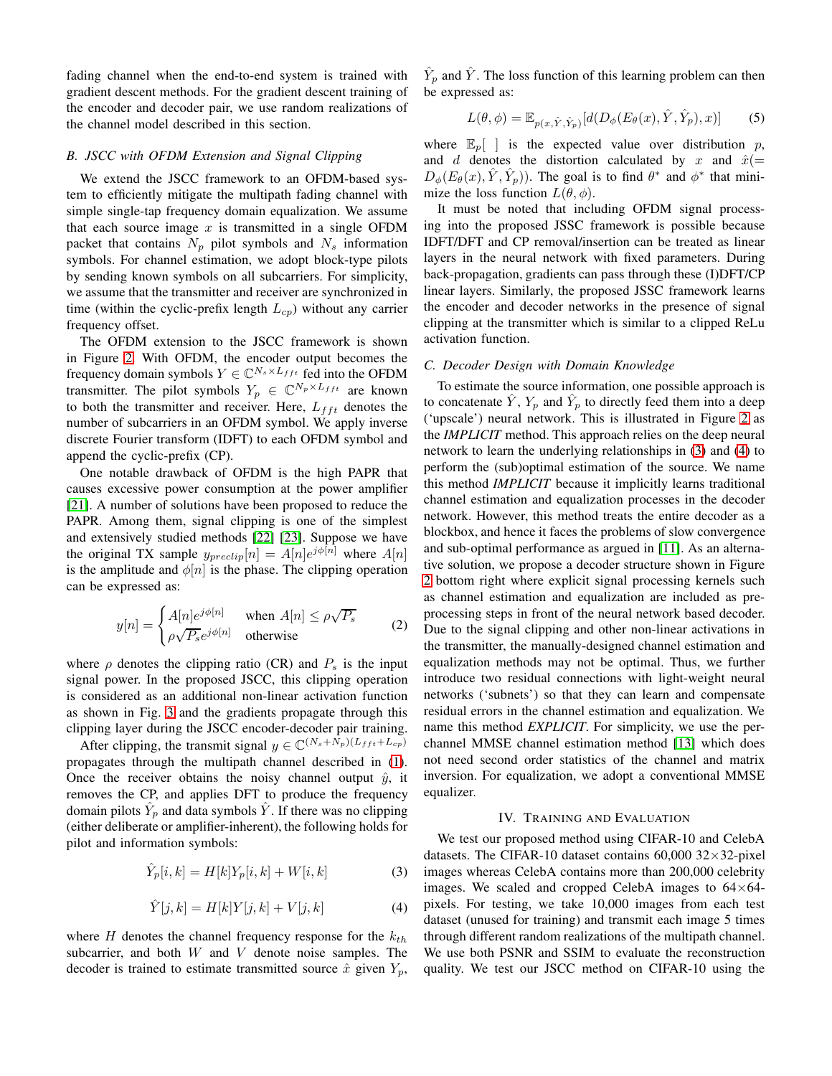fading channel when the end-to-end system is trained with gradient descent methods. For the gradient descent training of the encoder and decoder pair, we use random realizations of the channel model described in this section.

## *B. JSCC with OFDM Extension and Signal Clipping*

We extend the JSCC framework to an OFDM-based system to efficiently mitigate the multipath fading channel with simple single-tap frequency domain equalization. We assume that each source image  $x$  is transmitted in a single OFDM packet that contains  $N_p$  pilot symbols and  $N_s$  information symbols. For channel estimation, we adopt block-type pilots by sending known symbols on all subcarriers. For simplicity, we assume that the transmitter and receiver are synchronized in time (within the cyclic-prefix length  $L_{cp}$ ) without any carrier frequency offset.

The OFDM extension to the JSCC framework is shown in Figure [2.](#page-1-0) With OFDM, the encoder output becomes the frequency domain symbols  $Y \in \mathbb{C}^{N_s \times L_{fft}}$  fed into the OFDM transmitter. The pilot symbols  $Y_p \in \mathbb{C}^{N_p \times L_{fft}}$  are known to both the transmitter and receiver. Here,  $L_{fft}$  denotes the number of subcarriers in an OFDM symbol. We apply inverse discrete Fourier transform (IDFT) to each OFDM symbol and append the cyclic-prefix (CP).

One notable drawback of OFDM is the high PAPR that causes excessive power consumption at the power amplifier [\[21\]](#page-5-20). A number of solutions have been proposed to reduce the PAPR. Among them, signal clipping is one of the simplest and extensively studied methods [\[22\]](#page-5-21) [\[23\]](#page-5-22). Suppose we have the original TX sample  $y_{\text{predictip}}[n] = A[n]e^{j\phi[n]}$  where  $A[n]$ is the amplitude and  $\phi[n]$  is the phase. The clipping operation can be expressed as:

<span id="page-2-3"></span>
$$
y[n] = \begin{cases} A[n]e^{j\phi[n]} & \text{when } A[n] \le \rho\sqrt{P_s} \\ \rho\sqrt{P_s}e^{j\phi[n]} & \text{otherwise} \end{cases}
$$
 (2)

where  $\rho$  denotes the clipping ratio (CR) and  $P_s$  is the input signal power. In the proposed JSCC, this clipping operation is considered as an additional non-linear activation function as shown in Fig. [3](#page-3-0) and the gradients propagate through this clipping layer during the JSCC encoder-decoder pair training.

After clipping, the transmit signal  $y \in \mathbb{C}^{(N_s+N_p)(L_{fft}+L_{cp})}$ propagates through the multipath channel described in [\(1\)](#page-1-1). Once the receiver obtains the noisy channel output  $\hat{y}$ , it removes the CP, and applies DFT to produce the frequency domain pilots  $\hat{Y}_p$  and data symbols  $\hat{Y}$ . If there was no clipping (either deliberate or amplifier-inherent), the following holds for pilot and information symbols:

<span id="page-2-0"></span>
$$
\hat{Y}_p[i, k] = H[k]Y_p[i, k] + W[i, k]
$$
\n(3)

<span id="page-2-1"></span>
$$
\hat{Y}[j,k] = H[k]Y[j,k] + V[j,k] \tag{4}
$$

where  $H$  denotes the channel frequency response for the  $k_{th}$ subcarrier, and both  $W$  and  $V$  denote noise samples. The decoder is trained to estimate transmitted source  $\hat{x}$  given  $Y_p$ ,

 $\hat{Y}_p$  and  $\hat{Y}$ . The loss function of this learning problem can then be expressed as:

<span id="page-2-2"></span>
$$
L(\theta, \phi) = \mathbb{E}_{p(x, \hat{Y}, \hat{Y}_p)}[d(D_{\phi}(E_{\theta}(x), \hat{Y}, \hat{Y}_p), x)] \tag{5}
$$

where  $\mathbb{E}_p$  | is the expected value over distribution p, and d denotes the distortion calculated by x and  $\hat{x}$ (=  $D_{\phi}(E_{\theta}(x), \hat{Y}, \hat{Y}_p)$ . The goal is to find  $\theta^*$  and  $\phi^*$  that minimize the loss function  $L(\theta, \phi)$ .

It must be noted that including OFDM signal processing into the proposed JSSC framework is possible because IDFT/DFT and CP removal/insertion can be treated as linear layers in the neural network with fixed parameters. During back-propagation, gradients can pass through these (I)DFT/CP linear layers. Similarly, the proposed JSSC framework learns the encoder and decoder networks in the presence of signal clipping at the transmitter which is similar to a clipped ReLu activation function.

### *C. Decoder Design with Domain Knowledge*

To estimate the source information, one possible approach is to concatenate  $\hat{Y}$ ,  $Y_p$  and  $\hat{Y}_p$  to directly feed them into a deep ('upscale') neural network. This is illustrated in Figure [2](#page-1-0) as the *IMPLICIT* method. This approach relies on the deep neural network to learn the underlying relationships in [\(3\)](#page-2-0) and [\(4\)](#page-2-1) to perform the (sub)optimal estimation of the source. We name this method *IMPLICIT* because it implicitly learns traditional channel estimation and equalization processes in the decoder network. However, this method treats the entire decoder as a blockbox, and hence it faces the problems of slow convergence and sub-optimal performance as argued in [\[11\]](#page-5-10). As an alternative solution, we propose a decoder structure shown in Figure [2](#page-1-0) bottom right where explicit signal processing kernels such as channel estimation and equalization are included as preprocessing steps in front of the neural network based decoder. Due to the signal clipping and other non-linear activations in the transmitter, the manually-designed channel estimation and equalization methods may not be optimal. Thus, we further introduce two residual connections with light-weight neural networks ('subnets') so that they can learn and compensate residual errors in the channel estimation and equalization. We name this method *EXPLICIT*. For simplicity, we use the perchannel MMSE channel estimation method [\[13\]](#page-5-12) which does not need second order statistics of the channel and matrix inversion. For equalization, we adopt a conventional MMSE equalizer.

#### IV. TRAINING AND EVALUATION

We test our proposed method using CIFAR-10 and CelebA datasets. The CIFAR-10 dataset contains  $60,000$  32 $\times$ 32-pixel images whereas CelebA contains more than 200,000 celebrity images. We scaled and cropped CelebA images to  $64\times64$ pixels. For testing, we take 10,000 images from each test dataset (unused for training) and transmit each image 5 times through different random realizations of the multipath channel. We use both PSNR and SSIM to evaluate the reconstruction quality. We test our JSCC method on CIFAR-10 using the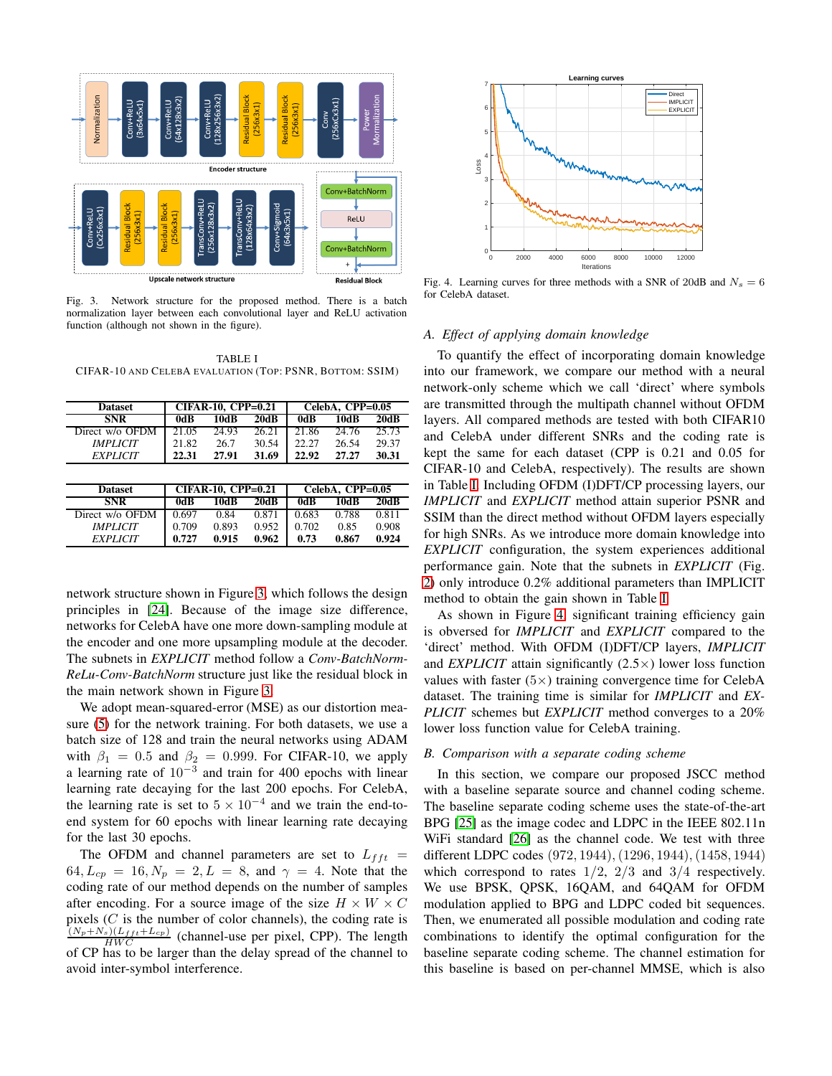

<span id="page-3-0"></span>Fig. 3. Network structure for the proposed method. There is a batch normalization layer between each convolutional layer and ReLU activation function (although not shown in the figure).

<span id="page-3-1"></span>TABLE I CIFAR-10 AND CELEBA EVALUATION (TOP: PSNR, BOTTOM: SSIM)

| <b>Dataset</b>  | <b>CIFAR-10, CPP=0.21</b> |       |       | CelebA, CPP=0.05 |       |       |
|-----------------|---------------------------|-------|-------|------------------|-------|-------|
| <b>SNR</b>      | 0dB                       | 10dB  | 20dB  | 0dB              | 10dB  | 20dB  |
| Direct w/o OFDM | 21.05                     | 24.93 | 26.21 | 21.86            | 24.76 | 25.73 |
| <b>IMPLICIT</b> | 21.82                     | 26.7  | 30.54 | 22.27            | 26.54 | 29.37 |
| <b>EXPLICIT</b> | 22.31                     | 27.91 | 31.69 | 22.92            | 27.27 | 30.31 |
|                 |                           |       |       |                  |       |       |
| <b>Dataset</b>  | <b>CIFAR-10, CPP=0.21</b> |       |       | CelebA, CPP=0.05 |       |       |
| <b>SNR</b>      | 0dB                       | 10dB  | 20dB  | 0dB              | 10dB  | 20dB  |
| Direct w/o OFDM | 0.697                     | 0.84  | 0.871 | 0.683            | 0.788 | 0.811 |
| <b>IMPLICIT</b> | 0.709                     | 0.893 | 0.952 | 0.702            | 0.85  | 0.908 |
| <b>EXPLICIT</b> | 0.727                     | 0.915 | 0.962 | 0.73             | 0.867 | 0.924 |

network structure shown in Figure [3,](#page-3-0) which follows the design principles in [\[24\]](#page-5-23). Because of the image size difference, networks for CelebA have one more down-sampling module at the encoder and one more upsampling module at the decoder. The subnets in *EXPLICIT* method follow a *Conv-BatchNorm-ReLu-Conv-BatchNorm* structure just like the residual block in the main network shown in Figure [3.](#page-3-0)

We adopt mean-squared-error (MSE) as our distortion measure [\(5\)](#page-2-2) for the network training. For both datasets, we use a batch size of 128 and train the neural networks using ADAM with  $\beta_1 = 0.5$  and  $\beta_2 = 0.999$ . For CIFAR-10, we apply a learning rate of  $10^{-3}$  and train for 400 epochs with linear learning rate decaying for the last 200 epochs. For CelebA, the learning rate is set to  $5 \times 10^{-4}$  and we train the end-toend system for 60 epochs with linear learning rate decaying for the last 30 epochs.

The OFDM and channel parameters are set to  $L_{fft}$  =  $64, L_{cp} = 16, N_p = 2, L = 8, \text{ and } \gamma = 4.$  Note that the coding rate of our method depends on the number of samples after encoding. For a source image of the size  $H \times W \times C$ pixels  $(C$  is the number of color channels), the coding rate is  $\frac{(N_p+N_s)(L_{fft}+L_{cp})}{HWC}$  (channel-use per pixel, CPP). The length of CP has to be larger than the delay spread of the channel to avoid inter-symbol interference.



<span id="page-3-2"></span>Fig. 4. Learning curves for three methods with a SNR of 20dB and  $N_s = 6$ for CelebA dataset.

# *A. Effect of applying domain knowledge*

To quantify the effect of incorporating domain knowledge into our framework, we compare our method with a neural network-only scheme which we call 'direct' where symbols are transmitted through the multipath channel without OFDM layers. All compared methods are tested with both CIFAR10 and CelebA under different SNRs and the coding rate is kept the same for each dataset (CPP is 0.21 and 0.05 for CIFAR-10 and CelebA, respectively). The results are shown in Table [I.](#page-3-1) Including OFDM (I)DFT/CP processing layers, our *IMPLICIT* and *EXPLICIT* method attain superior PSNR and SSIM than the direct method without OFDM layers especially for high SNRs. As we introduce more domain knowledge into *EXPLICIT* configuration, the system experiences additional performance gain. Note that the subnets in *EXPLICIT* (Fig. [2\)](#page-1-0) only introduce 0.2% additional parameters than IMPLICIT method to obtain the gain shown in Table [I.](#page-3-1)

As shown in Figure [4,](#page-3-2) significant training efficiency gain is obversed for *IMPLICIT* and *EXPLICIT* compared to the 'direct' method. With OFDM (I)DFT/CP layers, *IMPLICIT* and *EXPLICIT* attain significantly  $(2.5 \times)$  lower loss function values with faster  $(5\times)$  training convergence time for CelebA dataset. The training time is similar for *IMPLICIT* and *EX-PLICIT* schemes but *EXPLICIT* method converges to a 20% lower loss function value for CelebA training.

## *B. Comparison with a separate coding scheme*

In this section, we compare our proposed JSCC method with a baseline separate source and channel coding scheme. The baseline separate coding scheme uses the state-of-the-art BPG [\[25\]](#page-5-24) as the image codec and LDPC in the IEEE 802.11n WiFi standard [\[26\]](#page-5-25) as the channel code. We test with three different LDPC codes (972, 1944),(1296, 1944),(1458, 1944) which correspond to rates  $1/2$ ,  $2/3$  and  $3/4$  respectively. We use BPSK, QPSK, 16QAM, and 64QAM for OFDM modulation applied to BPG and LDPC coded bit sequences. Then, we enumerated all possible modulation and coding rate combinations to identify the optimal configuration for the baseline separate coding scheme. The channel estimation for this baseline is based on per-channel MMSE, which is also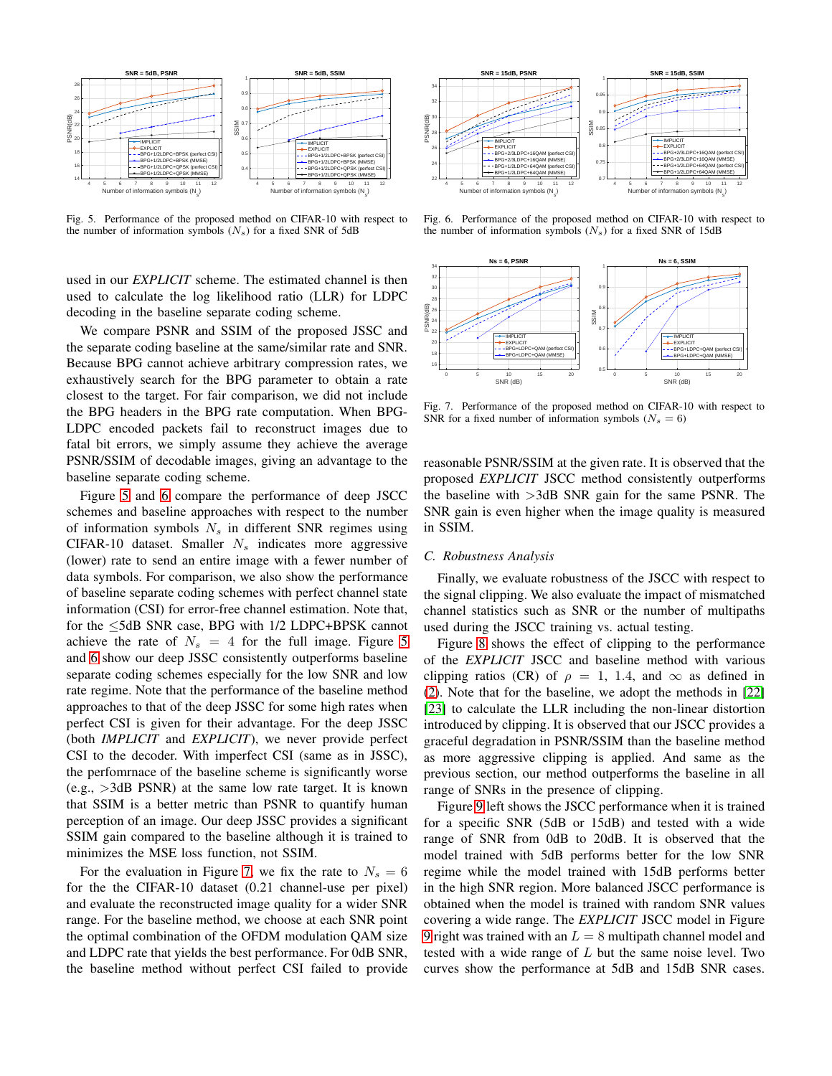

<span id="page-4-0"></span>Fig. 5. Performance of the proposed method on CIFAR-10 with respect to the number of information symbols  $(N_s)$  for a fixed SNR of 5dB

used in our *EXPLICIT* scheme. The estimated channel is then used to calculate the log likelihood ratio (LLR) for LDPC decoding in the baseline separate coding scheme.

We compare PSNR and SSIM of the proposed JSSC and the separate coding baseline at the same/similar rate and SNR. Because BPG cannot achieve arbitrary compression rates, we exhaustively search for the BPG parameter to obtain a rate closest to the target. For fair comparison, we did not include the BPG headers in the BPG rate computation. When BPG-LDPC encoded packets fail to reconstruct images due to fatal bit errors, we simply assume they achieve the average PSNR/SSIM of decodable images, giving an advantage to the baseline separate coding scheme.

Figure [5](#page-4-0) and [6](#page-4-1) compare the performance of deep JSCC schemes and baseline approaches with respect to the number of information symbols  $N<sub>s</sub>$  in different SNR regimes using CIFAR-10 dataset. Smaller  $N_s$  indicates more aggressive (lower) rate to send an entire image with a fewer number of data symbols. For comparison, we also show the performance of baseline separate coding schemes with perfect channel state information (CSI) for error-free channel estimation. Note that, for the ≤5dB SNR case, BPG with 1/2 LDPC+BPSK cannot achieve the rate of  $N_s = 4$  for the full image. Figure [5](#page-4-0) and [6](#page-4-1) show our deep JSSC consistently outperforms baseline separate coding schemes especially for the low SNR and low rate regime. Note that the performance of the baseline method approaches to that of the deep JSSC for some high rates when perfect CSI is given for their advantage. For the deep JSSC (both *IMPLICIT* and *EXPLICIT*), we never provide perfect CSI to the decoder. With imperfect CSI (same as in JSSC), the perfomrnace of the baseline scheme is significantly worse  $(e.g., >3dB$  PSNR) at the same low rate target. It is known that SSIM is a better metric than PSNR to quantify human perception of an image. Our deep JSSC provides a significant SSIM gain compared to the baseline although it is trained to minimizes the MSE loss function, not SSIM.

For the evaluation in Figure [7,](#page-4-2) we fix the rate to  $N_s = 6$ for the the CIFAR-10 dataset (0.21 channel-use per pixel) and evaluate the reconstructed image quality for a wider SNR range. For the baseline method, we choose at each SNR point the optimal combination of the OFDM modulation QAM size and LDPC rate that yields the best performance. For 0dB SNR, the baseline method without perfect CSI failed to provide



<span id="page-4-1"></span>Fig. 6. Performance of the proposed method on CIFAR-10 with respect to the number of information symbols  $(N_s)$  for a fixed SNR of 15dB



<span id="page-4-2"></span>Fig. 7. Performance of the proposed method on CIFAR-10 with respect to SNR for a fixed number of information symbols ( $N_s = 6$ )

reasonable PSNR/SSIM at the given rate. It is observed that the proposed *EXPLICIT* JSCC method consistently outperforms the baseline with >3dB SNR gain for the same PSNR. The SNR gain is even higher when the image quality is measured in SSIM.

#### *C. Robustness Analysis*

Finally, we evaluate robustness of the JSCC with respect to the signal clipping. We also evaluate the impact of mismatched channel statistics such as SNR or the number of multipaths used during the JSCC training vs. actual testing.

Figure [8](#page-5-26) shows the effect of clipping to the performance of the *EXPLICIT* JSCC and baseline method with various clipping ratios (CR) of  $\rho = 1, 1.4,$  and  $\infty$  as defined in [\(2\)](#page-2-3). Note that for the baseline, we adopt the methods in [\[22\]](#page-5-21) [\[23\]](#page-5-22) to calculate the LLR including the non-linear distortion introduced by clipping. It is observed that our JSCC provides a graceful degradation in PSNR/SSIM than the baseline method as more aggressive clipping is applied. And same as the previous section, our method outperforms the baseline in all range of SNRs in the presence of clipping.

Figure [9](#page-5-27) left shows the JSCC performance when it is trained for a specific SNR (5dB or 15dB) and tested with a wide range of SNR from 0dB to 20dB. It is observed that the model trained with 5dB performs better for the low SNR regime while the model trained with 15dB performs better in the high SNR region. More balanced JSCC performance is obtained when the model is trained with random SNR values covering a wide range. The *EXPLICIT* JSCC model in Figure [9](#page-5-27) right was trained with an  $L = 8$  multipath channel model and tested with a wide range of  $L$  but the same noise level. Two curves show the performance at 5dB and 15dB SNR cases.